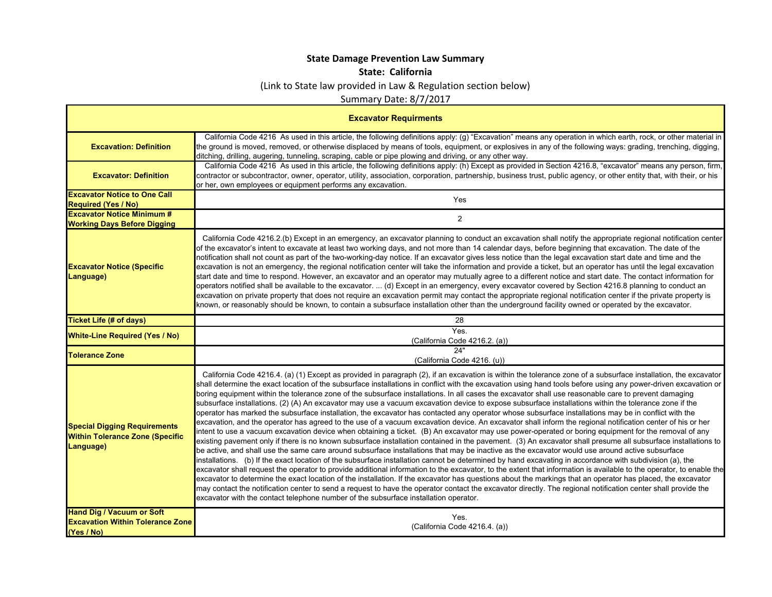## **State Damage Prevention Law Summary State: California**

## (Link to State law provided in Law & Regulation section below)

Summary Date: 8/7/2017

| <b>Excavator Requirments</b>                                                               |                                                                                                                                                                                                                                                                                                                                                                                                                                                                                                                                                                                                                                                                                                                                                                                                                                                                                                                                                                                                                                                                                                                                                                                                                                                                                                                                                                                                                                                                                                                                                                                                                                                                                                                                                                                                                                                                                                                                                                                                                                                                                                                                                                                                                |
|--------------------------------------------------------------------------------------------|----------------------------------------------------------------------------------------------------------------------------------------------------------------------------------------------------------------------------------------------------------------------------------------------------------------------------------------------------------------------------------------------------------------------------------------------------------------------------------------------------------------------------------------------------------------------------------------------------------------------------------------------------------------------------------------------------------------------------------------------------------------------------------------------------------------------------------------------------------------------------------------------------------------------------------------------------------------------------------------------------------------------------------------------------------------------------------------------------------------------------------------------------------------------------------------------------------------------------------------------------------------------------------------------------------------------------------------------------------------------------------------------------------------------------------------------------------------------------------------------------------------------------------------------------------------------------------------------------------------------------------------------------------------------------------------------------------------------------------------------------------------------------------------------------------------------------------------------------------------------------------------------------------------------------------------------------------------------------------------------------------------------------------------------------------------------------------------------------------------------------------------------------------------------------------------------------------------|
| <b>Excavation: Definition</b>                                                              | California Code 4216 As used in this article, the following definitions apply: (g) "Excavation" means any operation in which earth, rock, or other material in<br>the ground is moved, removed, or otherwise displaced by means of tools, equipment, or explosives in any of the following ways: grading, trenching, digging,<br>ditching, drilling, augering, tunneling, scraping, cable or pipe plowing and driving, or any other way.                                                                                                                                                                                                                                                                                                                                                                                                                                                                                                                                                                                                                                                                                                                                                                                                                                                                                                                                                                                                                                                                                                                                                                                                                                                                                                                                                                                                                                                                                                                                                                                                                                                                                                                                                                       |
| <b>Excavator: Definition</b>                                                               | California Code 4216 As used in this article, the following definitions apply: (h) Except as provided in Section 4216.8, "excavator" means any person, firm,<br>contractor or subcontractor, owner, operator, utility, association, corporation, partnership, business trust, public agency, or other entity that, with their, or his<br>or her, own employees or equipment performs any excavation.                                                                                                                                                                                                                                                                                                                                                                                                                                                                                                                                                                                                                                                                                                                                                                                                                                                                                                                                                                                                                                                                                                                                                                                                                                                                                                                                                                                                                                                                                                                                                                                                                                                                                                                                                                                                           |
| <b>Excavator Notice to One Call</b><br><b>Required (Yes / No)</b>                          | Yes                                                                                                                                                                                                                                                                                                                                                                                                                                                                                                                                                                                                                                                                                                                                                                                                                                                                                                                                                                                                                                                                                                                                                                                                                                                                                                                                                                                                                                                                                                                                                                                                                                                                                                                                                                                                                                                                                                                                                                                                                                                                                                                                                                                                            |
| <b>Excavator Notice Minimum #</b><br><b>Working Days Before Digging</b>                    | 2                                                                                                                                                                                                                                                                                                                                                                                                                                                                                                                                                                                                                                                                                                                                                                                                                                                                                                                                                                                                                                                                                                                                                                                                                                                                                                                                                                                                                                                                                                                                                                                                                                                                                                                                                                                                                                                                                                                                                                                                                                                                                                                                                                                                              |
| <b>Excavator Notice (Specific</b><br>Language)                                             | California Code 4216.2.(b) Except in an emergency, an excavator planning to conduct an excavation shall notify the appropriate regional notification center<br>of the excavator's intent to excavate at least two working days, and not more than 14 calendar days, before beginning that excavation. The date of the<br>notification shall not count as part of the two-working-day notice. If an excavator gives less notice than the legal excavation start date and time and the<br>excavation is not an emergency, the regional notification center will take the information and provide a ticket, but an operator has until the legal excavation<br>start date and time to respond. However, an excavator and an operator may mutually agree to a different notice and start date. The contact information for<br>operators notified shall be available to the excavator.  (d) Except in an emergency, every excavator covered by Section 4216.8 planning to conduct an<br>excavation on private property that does not require an excavation permit may contact the appropriate regional notification center if the private property is<br>known, or reasonably should be known, to contain a subsurface installation other than the underground facility owned or operated by the excavator.                                                                                                                                                                                                                                                                                                                                                                                                                                                                                                                                                                                                                                                                                                                                                                                                                                                                                                          |
| <b>Ticket Life (# of days)</b>                                                             | 28                                                                                                                                                                                                                                                                                                                                                                                                                                                                                                                                                                                                                                                                                                                                                                                                                                                                                                                                                                                                                                                                                                                                                                                                                                                                                                                                                                                                                                                                                                                                                                                                                                                                                                                                                                                                                                                                                                                                                                                                                                                                                                                                                                                                             |
| <b>White-Line Required (Yes / No)</b>                                                      | Yes.<br>(California Code 4216.2. (a))                                                                                                                                                                                                                                                                                                                                                                                                                                                                                                                                                                                                                                                                                                                                                                                                                                                                                                                                                                                                                                                                                                                                                                                                                                                                                                                                                                                                                                                                                                                                                                                                                                                                                                                                                                                                                                                                                                                                                                                                                                                                                                                                                                          |
| <b>Tolerance Zone</b>                                                                      | 24"<br>(California Code 4216. (u))                                                                                                                                                                                                                                                                                                                                                                                                                                                                                                                                                                                                                                                                                                                                                                                                                                                                                                                                                                                                                                                                                                                                                                                                                                                                                                                                                                                                                                                                                                                                                                                                                                                                                                                                                                                                                                                                                                                                                                                                                                                                                                                                                                             |
| <b>Special Digging Requirements</b><br><b>Within Tolerance Zone (Specific</b><br>Language) | California Code 4216.4. (a) (1) Except as provided in paragraph (2), if an excavation is within the tolerance zone of a subsurface installation, the excavator<br>shall determine the exact location of the subsurface installations in conflict with the excavation using hand tools before using any power-driven excavation or<br>boring equipment within the tolerance zone of the subsurface installations. In all cases the excavator shall use reasonable care to prevent damaging<br>subsurface installations. (2) (A) An excavator may use a vacuum excavation device to expose subsurface installations within the tolerance zone if the<br>operator has marked the subsurface installation, the excavator has contacted any operator whose subsurface installations may be in conflict with the<br>excavation, and the operator has agreed to the use of a vacuum excavation device. An excavator shall inform the regional notification center of his or her<br>intent to use a vacuum excavation device when obtaining a ticket. (B) An excavator may use power-operated or boring equipment for the removal of any<br>existing pavement only if there is no known subsurface installation contained in the pavement. (3) An excavator shall presume all subsurface installations to<br>be active, and shall use the same care around subsurface installations that may be inactive as the excavator would use around active subsurface<br>installations. (b) If the exact location of the subsurface installation cannot be determined by hand excavating in accordance with subdivision (a), the<br>excavator shall request the operator to provide additional information to the excavator, to the extent that information is available to the operator, to enable the<br>excavator to determine the exact location of the installation. If the excavator has questions about the markings that an operator has placed, the excavator<br>may contact the notification center to send a request to have the operator contact the excavator directly. The regional notification center shall provide the<br>excavator with the contact telephone number of the subsurface installation operator. |
| <b>Hand Dig / Vacuum or Soft</b><br><b>Excavation Within Tolerance Zone</b><br>(Yes / No)  | Yes.<br>(California Code 4216.4. (a))                                                                                                                                                                                                                                                                                                                                                                                                                                                                                                                                                                                                                                                                                                                                                                                                                                                                                                                                                                                                                                                                                                                                                                                                                                                                                                                                                                                                                                                                                                                                                                                                                                                                                                                                                                                                                                                                                                                                                                                                                                                                                                                                                                          |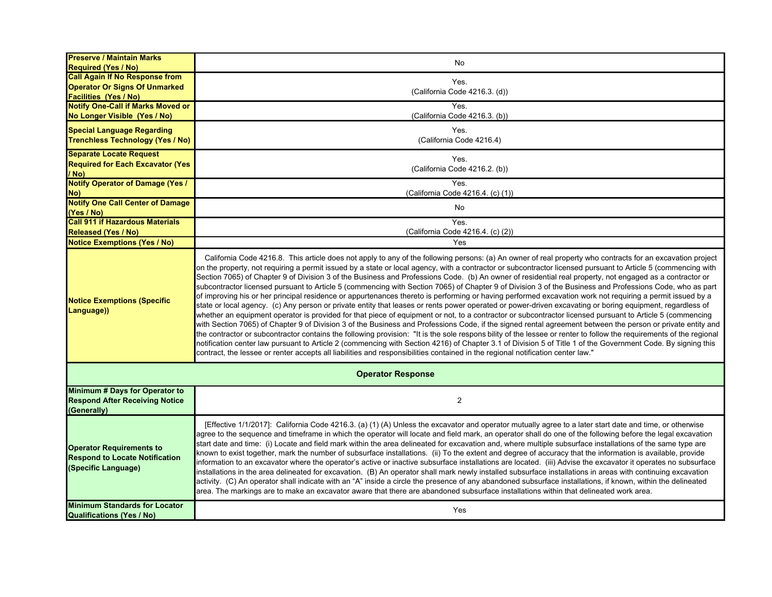| <b>Preserve / Maintain Marks</b><br><b>Required (Yes / No)</b>                                                | No                                                                                                                                                                                                                                                                                                                                                                                                                                                                                                                                                                                                                                                                                                                                                                                                                                                                                                                                                                                                                                                                                                                                                                                                                                                                                                                                                                                                                                                                                                                                                                                                                                                                                                                                                                                  |
|---------------------------------------------------------------------------------------------------------------|-------------------------------------------------------------------------------------------------------------------------------------------------------------------------------------------------------------------------------------------------------------------------------------------------------------------------------------------------------------------------------------------------------------------------------------------------------------------------------------------------------------------------------------------------------------------------------------------------------------------------------------------------------------------------------------------------------------------------------------------------------------------------------------------------------------------------------------------------------------------------------------------------------------------------------------------------------------------------------------------------------------------------------------------------------------------------------------------------------------------------------------------------------------------------------------------------------------------------------------------------------------------------------------------------------------------------------------------------------------------------------------------------------------------------------------------------------------------------------------------------------------------------------------------------------------------------------------------------------------------------------------------------------------------------------------------------------------------------------------------------------------------------------------|
| <b>Call Again If No Response from</b><br><b>Operator Or Signs Of Unmarked</b><br><b>Facilities (Yes / No)</b> | Yes.<br>(California Code 4216.3. (d))                                                                                                                                                                                                                                                                                                                                                                                                                                                                                                                                                                                                                                                                                                                                                                                                                                                                                                                                                                                                                                                                                                                                                                                                                                                                                                                                                                                                                                                                                                                                                                                                                                                                                                                                               |
| <b>Notify One-Call if Marks Moved or</b><br>No Longer Visible (Yes / No)                                      | Yes.<br>(California Code 4216.3. (b))                                                                                                                                                                                                                                                                                                                                                                                                                                                                                                                                                                                                                                                                                                                                                                                                                                                                                                                                                                                                                                                                                                                                                                                                                                                                                                                                                                                                                                                                                                                                                                                                                                                                                                                                               |
| <b>Special Language Regarding</b><br><b>Trenchless Technology (Yes / No)</b>                                  | Yes.<br>(California Code 4216.4)                                                                                                                                                                                                                                                                                                                                                                                                                                                                                                                                                                                                                                                                                                                                                                                                                                                                                                                                                                                                                                                                                                                                                                                                                                                                                                                                                                                                                                                                                                                                                                                                                                                                                                                                                    |
| <b>Separate Locate Request</b><br><b>Required for Each Excavator (Yes)</b><br>/ No)                           | Yes.<br>(California Code 4216.2. (b))                                                                                                                                                                                                                                                                                                                                                                                                                                                                                                                                                                                                                                                                                                                                                                                                                                                                                                                                                                                                                                                                                                                                                                                                                                                                                                                                                                                                                                                                                                                                                                                                                                                                                                                                               |
| <b>Notify Operator of Damage (Yes /</b><br>No)                                                                | Yes.<br>(California Code 4216.4. (c) (1))                                                                                                                                                                                                                                                                                                                                                                                                                                                                                                                                                                                                                                                                                                                                                                                                                                                                                                                                                                                                                                                                                                                                                                                                                                                                                                                                                                                                                                                                                                                                                                                                                                                                                                                                           |
| <b>Notify One Call Center of Damage</b><br>(Yes / No)                                                         | No                                                                                                                                                                                                                                                                                                                                                                                                                                                                                                                                                                                                                                                                                                                                                                                                                                                                                                                                                                                                                                                                                                                                                                                                                                                                                                                                                                                                                                                                                                                                                                                                                                                                                                                                                                                  |
| <b>Call 911 if Hazardous Materials</b><br><b>Released (Yes / No)</b>                                          | Yes.<br>(California Code 4216.4. (c) (2))                                                                                                                                                                                                                                                                                                                                                                                                                                                                                                                                                                                                                                                                                                                                                                                                                                                                                                                                                                                                                                                                                                                                                                                                                                                                                                                                                                                                                                                                                                                                                                                                                                                                                                                                           |
| <b>Notice Exemptions (Yes / No)</b>                                                                           | Yes                                                                                                                                                                                                                                                                                                                                                                                                                                                                                                                                                                                                                                                                                                                                                                                                                                                                                                                                                                                                                                                                                                                                                                                                                                                                                                                                                                                                                                                                                                                                                                                                                                                                                                                                                                                 |
| <b>Notice Exemptions (Specific</b><br>Language))                                                              | California Code 4216.8. This article does not apply to any of the following persons: (a) An owner of real property who contracts for an excavation project<br>on the property, not requiring a permit issued by a state or local agency, with a contractor or subcontractor licensed pursuant to Article 5 (commencing with<br>Section 7065) of Chapter 9 of Division 3 of the Business and Professions Code. (b) An owner of residential real property, not engaged as a contractor or<br>subcontractor licensed pursuant to Article 5 (commencing with Section 7065) of Chapter 9 of Division 3 of the Business and Professions Code, who as part<br>of improving his or her principal residence or appurtenances thereto is performing or having performed excavation work not requiring a permit issued by a<br>state or local agency. (c) Any person or private entity that leases or rents power operated or power-driven excavating or boring equipment, regardless of<br>whether an equipment operator is provided for that piece of equipment or not, to a contractor or subcontractor licensed pursuant to Article 5 (commencing<br>with Section 7065) of Chapter 9 of Division 3 of the Business and Professions Code, if the signed rental agreement between the person or private entity and<br>the contractor or subcontractor contains the following provision: "It is the sole respons bility of the lessee or renter to follow the requirements of the regional<br>notification center law pursuant to Article 2 (commencing with Section 4216) of Chapter 3.1 of Division 5 of Title 1 of the Government Code. By signing this<br>contract, the lessee or renter accepts all liabilities and responsibilities contained in the regional notification center law." |
| <b>Operator Response</b>                                                                                      |                                                                                                                                                                                                                                                                                                                                                                                                                                                                                                                                                                                                                                                                                                                                                                                                                                                                                                                                                                                                                                                                                                                                                                                                                                                                                                                                                                                                                                                                                                                                                                                                                                                                                                                                                                                     |
| Minimum # Days for Operator to<br><b>Respond After Receiving Notice</b><br>(Generally)                        | $\overline{2}$                                                                                                                                                                                                                                                                                                                                                                                                                                                                                                                                                                                                                                                                                                                                                                                                                                                                                                                                                                                                                                                                                                                                                                                                                                                                                                                                                                                                                                                                                                                                                                                                                                                                                                                                                                      |
| <b>Operator Requirements to</b><br><b>Respond to Locate Notification</b><br>(Specific Language)               | [Effective 1/1/2017]: California Code 4216.3. (a) (1) (A) Unless the excavator and operator mutually agree to a later start date and time, or otherwise<br>agree to the sequence and timeframe in which the operator will locate and field mark, an operator shall do one of the following before the legal excavation<br>start date and time: (i) Locate and field mark within the area delineated for excavation and, where multiple subsurface installations of the same type are<br>known to exist together, mark the number of subsurface installations. (ii) To the extent and degree of accuracy that the information is available, provide<br>information to an excavator where the operator's active or inactive subsurface installations are located. (iii) Advise the excavator it operates no subsurface<br>installations in the area delineated for excavation. (B) An operator shall mark newly installed subsurface installations in areas with continuing excavation<br>activity. (C) An operator shall indicate with an "A" inside a circle the presence of any abandoned subsurface installations, if known, within the delineated<br>area. The markings are to make an excavator aware that there are abandoned subsurface installations within that delineated work area.                                                                                                                                                                                                                                                                                                                                                                                                                                                                                       |
| <b>Minimum Standards for Locator</b><br><b>Qualifications (Yes / No)</b>                                      | Yes                                                                                                                                                                                                                                                                                                                                                                                                                                                                                                                                                                                                                                                                                                                                                                                                                                                                                                                                                                                                                                                                                                                                                                                                                                                                                                                                                                                                                                                                                                                                                                                                                                                                                                                                                                                 |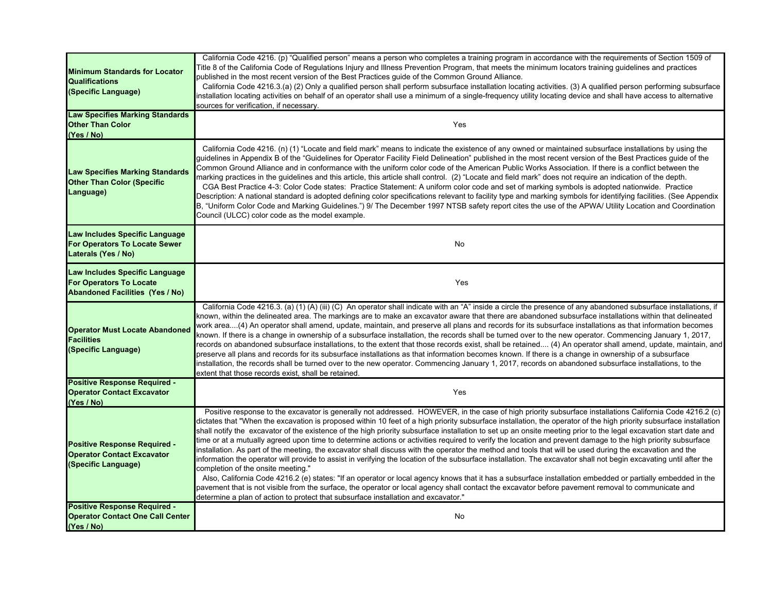| <b>Minimum Standards for Locator</b><br><b>Qualifications</b><br>(Specific Language)                       | California Code 4216. (p) "Qualified person" means a person who completes a training program in accordance with the requirements of Section 1509 of<br>Title 8 of the California Code of Regulations Injury and Illness Prevention Program, that meets the minimum locators training quidelines and practices<br>published in the most recent version of the Best Practices guide of the Common Ground Alliance.<br>California Code 4216.3.(a) (2) Only a qualified person shall perform subsurface installation locating activities. (3) A qualified person performing subsurface<br>installation locating activities on behalf of an operator shall use a minimum of a single-frequency utility locating device and shall have access to alternative<br>sources for verification, if necessary.                                                                                                                                                                                                                                                                                                                                                                                                                                                                                                                                                                                                                                                      |
|------------------------------------------------------------------------------------------------------------|--------------------------------------------------------------------------------------------------------------------------------------------------------------------------------------------------------------------------------------------------------------------------------------------------------------------------------------------------------------------------------------------------------------------------------------------------------------------------------------------------------------------------------------------------------------------------------------------------------------------------------------------------------------------------------------------------------------------------------------------------------------------------------------------------------------------------------------------------------------------------------------------------------------------------------------------------------------------------------------------------------------------------------------------------------------------------------------------------------------------------------------------------------------------------------------------------------------------------------------------------------------------------------------------------------------------------------------------------------------------------------------------------------------------------------------------------------|
| <b>Law Specifies Marking Standards</b><br><b>Other Than Color</b><br>(Yes / No)                            | Yes                                                                                                                                                                                                                                                                                                                                                                                                                                                                                                                                                                                                                                                                                                                                                                                                                                                                                                                                                                                                                                                                                                                                                                                                                                                                                                                                                                                                                                                    |
| <b>Law Specifies Marking Standards</b><br><b>Other Than Color (Specific</b><br>Language)                   | California Code 4216. (n) (1) "Locate and field mark" means to indicate the existence of any owned or maintained subsurface installations by using the<br>guidelines in Appendix B of the "Guidelines for Operator Facility Field Delineation" published in the most recent version of the Best Practices guide of the<br>Common Ground Alliance and in conformance with the uniform color code of the American Public Works Association. If there is a conflict between the<br>marking practices in the guidelines and this article, this article shall control. (2) "Locate and field mark" does not require an indication of the depth.<br>CGA Best Practice 4-3: Color Code states: Practice Statement: A uniform color code and set of marking symbols is adopted nationwide. Practice<br>Description: A national standard is adopted defining color specifications relevant to facility type and marking symbols for identifying facilities. (See Appendix<br>B, "Uniform Color Code and Marking Guidelines.") 9/ The December 1997 NTSB safety report cites the use of the APWA/ Utility Location and Coordination<br>Council (ULCC) color code as the model example.                                                                                                                                                                                                                                                                           |
| Law Includes Specific Language<br>For Operators To Locate Sewer<br>Laterals (Yes / No)                     | No                                                                                                                                                                                                                                                                                                                                                                                                                                                                                                                                                                                                                                                                                                                                                                                                                                                                                                                                                                                                                                                                                                                                                                                                                                                                                                                                                                                                                                                     |
| Law Includes Specific Language<br><b>For Operators To Locate</b><br><b>Abandoned Facilities (Yes / No)</b> | Yes                                                                                                                                                                                                                                                                                                                                                                                                                                                                                                                                                                                                                                                                                                                                                                                                                                                                                                                                                                                                                                                                                                                                                                                                                                                                                                                                                                                                                                                    |
| <b>Operator Must Locate Abandoned</b><br><b>Facilities</b><br>(Specific Language)                          | California Code 4216.3. (a) (1) (A) (iii) (C) An operator shall indicate with an "A" inside a circle the presence of any abandoned subsurface installations, if<br>known, within the delineated area. The markings are to make an excavator aware that there are abandoned subsurface installations within that delineated<br>work area(4) An operator shall amend, update, maintain, and preserve all plans and records for its subsurface installations as that information becomes<br>known. If there is a change in ownership of a subsurface installation, the records shall be turned over to the new operator. Commencing January 1, 2017,<br>records on abandoned subsurface installations, to the extent that those records exist, shall be retained (4) An operator shall amend, update, maintain, and<br>preserve all plans and records for its subsurface installations as that information becomes known. If there is a change in ownership of a subsurface<br>installation, the records shall be turned over to the new operator. Commencing January 1, 2017, records on abandoned subsurface installations, to the<br>extent that those records exist, shall be retained.                                                                                                                                                                                                                                                               |
| <b>Positive Response Required -</b><br><b>Operator Contact Excavator</b><br>(Yes / No)                     | Yes                                                                                                                                                                                                                                                                                                                                                                                                                                                                                                                                                                                                                                                                                                                                                                                                                                                                                                                                                                                                                                                                                                                                                                                                                                                                                                                                                                                                                                                    |
| <b>Positive Response Required -</b><br><b>Operator Contact Excavator</b><br>(Specific Language)            | Positive response to the excavator is generally not addressed. HOWEVER, in the case of high priority subsurface installations California Code 4216.2 (c)<br>dictates that "When the excavation is proposed within 10 feet of a high priority subsurface installation, the operator of the high priority subsurface installation<br>shall notify the excavator of the existence of the high priority subsurface installation to set up an onsite meeting prior to the legal excavation start date and<br>time or at a mutually agreed upon time to determine actions or activities required to verify the location and prevent damage to the high priority subsurface<br>installation. As part of the meeting, the excavator shall discuss with the operator the method and tools that will be used during the excavation and the<br>information the operator will provide to assist in verifying the location of the subsurface installation. The excavator shall not begin excavating until after the<br>completion of the onsite meeting."<br>Also, California Code 4216.2 (e) states: "If an operator or local agency knows that it has a subsurface installation embedded or partially embedded in the<br>pavement that is not visible from the surface, the operator or local agency shall contact the excavator before pavement removal to communicate and<br>determine a plan of action to protect that subsurface installation and excavator." |
| <b>Positive Response Required -</b><br><b>Operator Contact One Call Center</b><br>(Yes / No)               | No                                                                                                                                                                                                                                                                                                                                                                                                                                                                                                                                                                                                                                                                                                                                                                                                                                                                                                                                                                                                                                                                                                                                                                                                                                                                                                                                                                                                                                                     |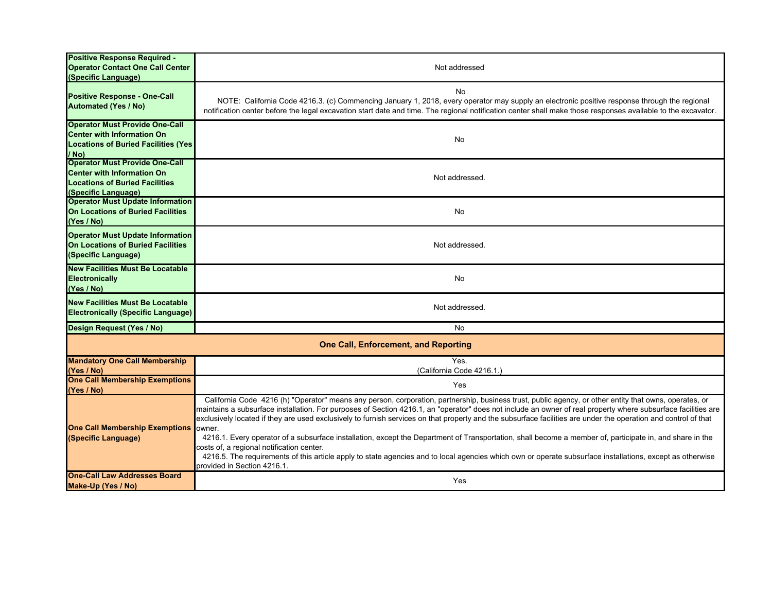| <b>Positive Response Required -</b><br><b>Operator Contact One Call Center</b><br>(Specific Language)                                      | Not addressed                                                                                                                                                                                                                                                                                                                                                                                                                                                                                                                                                                                                                                                                                                                                                                                                                                                                                              |
|--------------------------------------------------------------------------------------------------------------------------------------------|------------------------------------------------------------------------------------------------------------------------------------------------------------------------------------------------------------------------------------------------------------------------------------------------------------------------------------------------------------------------------------------------------------------------------------------------------------------------------------------------------------------------------------------------------------------------------------------------------------------------------------------------------------------------------------------------------------------------------------------------------------------------------------------------------------------------------------------------------------------------------------------------------------|
| <b>Positive Response - One-Call</b><br><b>Automated (Yes / No)</b>                                                                         | <b>No</b><br>NOTE: California Code 4216.3. (c) Commencing January 1, 2018, every operator may supply an electronic positive response through the regional<br>notification center before the legal excavation start date and time. The regional notification center shall make those responses available to the excavator.                                                                                                                                                                                                                                                                                                                                                                                                                                                                                                                                                                                  |
| <b>Operator Must Provide One-Call</b><br><b>Center with Information On</b><br><b>Locations of Buried Facilities (Yes)</b><br>/ No)         | No                                                                                                                                                                                                                                                                                                                                                                                                                                                                                                                                                                                                                                                                                                                                                                                                                                                                                                         |
| <b>Operator Must Provide One-Call</b><br><b>Center with Information On</b><br><b>Locations of Buried Facilities</b><br>(Specific Language) | Not addressed.                                                                                                                                                                                                                                                                                                                                                                                                                                                                                                                                                                                                                                                                                                                                                                                                                                                                                             |
| <b>Operator Must Update Information</b><br>On Locations of Buried Facilities<br>(Yes / No)                                                 | No                                                                                                                                                                                                                                                                                                                                                                                                                                                                                                                                                                                                                                                                                                                                                                                                                                                                                                         |
| <b>Operator Must Update Information</b><br><b>On Locations of Buried Facilities</b><br>(Specific Language)                                 | Not addressed.                                                                                                                                                                                                                                                                                                                                                                                                                                                                                                                                                                                                                                                                                                                                                                                                                                                                                             |
| <b>New Facilities Must Be Locatable</b><br><b>Electronically</b><br>(Yes / No)                                                             | No                                                                                                                                                                                                                                                                                                                                                                                                                                                                                                                                                                                                                                                                                                                                                                                                                                                                                                         |
| <b>New Facilities Must Be Locatable</b><br><b>Electronically (Specific Language)</b>                                                       | Not addressed.                                                                                                                                                                                                                                                                                                                                                                                                                                                                                                                                                                                                                                                                                                                                                                                                                                                                                             |
| Design Request (Yes / No)                                                                                                                  | No                                                                                                                                                                                                                                                                                                                                                                                                                                                                                                                                                                                                                                                                                                                                                                                                                                                                                                         |
|                                                                                                                                            | One Call, Enforcement, and Reporting                                                                                                                                                                                                                                                                                                                                                                                                                                                                                                                                                                                                                                                                                                                                                                                                                                                                       |
| <b>Mandatory One Call Membership</b><br>(Yes / No)                                                                                         | Yes.<br>(California Code 4216.1.)                                                                                                                                                                                                                                                                                                                                                                                                                                                                                                                                                                                                                                                                                                                                                                                                                                                                          |
| <b>One Call Membership Exemptions</b><br>(Yes / No)                                                                                        | Yes                                                                                                                                                                                                                                                                                                                                                                                                                                                                                                                                                                                                                                                                                                                                                                                                                                                                                                        |
| <b>One Call Membership Exemptions</b><br>(Specific Language)                                                                               | California Code 4216 (h) "Operator" means any person, corporation, partnership, business trust, public agency, or other entity that owns, operates, or<br>maintains a subsurface installation. For purposes of Section 4216.1, an "operator" does not include an owner of real property where subsurface facilities are<br>exclusively located if they are used exclusively to furnish services on that property and the subsurface facilities are under the operation and control of that<br>lowner.<br>4216.1. Every operator of a subsurface installation, except the Department of Transportation, shall become a member of, participate in, and share in the<br>costs of, a regional notification center.<br>4216.5. The requirements of this article apply to state agencies and to local agencies which own or operate subsurface installations, except as otherwise<br>provided in Section 4216.1. |
| <b>One-Call Law Addresses Board</b><br>Make-Up (Yes / No)                                                                                  | Yes                                                                                                                                                                                                                                                                                                                                                                                                                                                                                                                                                                                                                                                                                                                                                                                                                                                                                                        |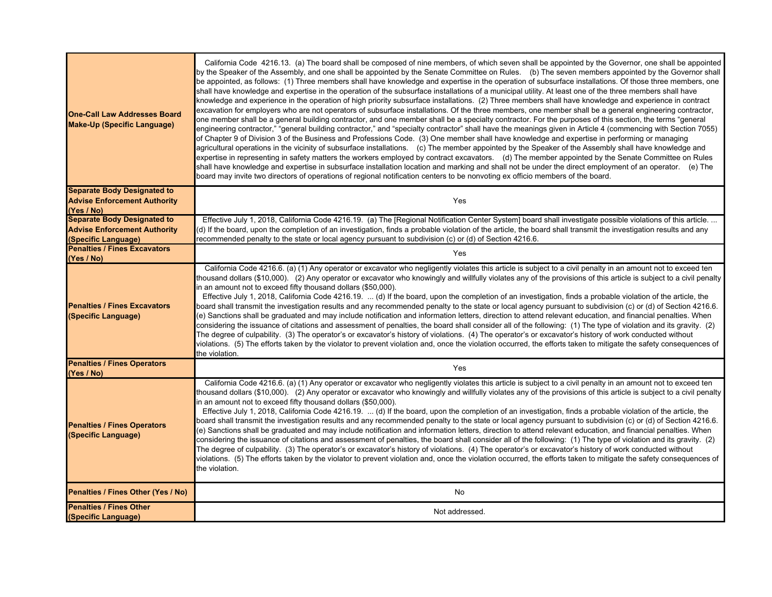| <b>One-Call Law Addresses Board</b><br><b>Make-Up (Specific Language)</b>                        | California Code 4216.13. (a) The board shall be composed of nine members, of which seven shall be appointed by the Governor, one shall be appointed<br>by the Speaker of the Assembly, and one shall be appointed by the Senate Committee on Rules. (b) The seven members appointed by the Governor shall<br>be appointed, as follows: (1) Three members shall have knowledge and expertise in the operation of subsurface installations. Of those three members, one<br>shall have knowledge and expertise in the operation of the subsurface installations of a municipal utility. At least one of the three members shall have<br>knowledge and experience in the operation of high priority subsurface installations. (2) Three members shall have knowledge and experience in contract<br>excavation for employers who are not operators of subsurface installations. Of the three members, one member shall be a general engineering contractor,<br>one member shall be a general building contractor, and one member shall be a specialty contractor. For the purposes of this section, the terms "general<br>lengineering contractor," "general building contractor," and "specialty contractor" shall have the meanings given in Article 4 (commencing with Section 7055)<br>of Chapter 9 of Division 3 of the Business and Professions Code. (3) One member shall have knowledge and expertise in performing or managing<br>agricultural operations in the vicinity of subsurface installations. (c) The member appointed by the Speaker of the Assembly shall have knowledge and<br>expertise in representing in safety matters the workers employed by contract excavators. (d) The member appointed by the Senate Committee on Rules<br>shall have knowledge and expertise in subsurface installation location and marking and shall not be under the direct employment of an operator. (e) The<br>board may invite two directors of operations of regional notification centers to be nonvoting ex officio members of the board. |
|--------------------------------------------------------------------------------------------------|------------------------------------------------------------------------------------------------------------------------------------------------------------------------------------------------------------------------------------------------------------------------------------------------------------------------------------------------------------------------------------------------------------------------------------------------------------------------------------------------------------------------------------------------------------------------------------------------------------------------------------------------------------------------------------------------------------------------------------------------------------------------------------------------------------------------------------------------------------------------------------------------------------------------------------------------------------------------------------------------------------------------------------------------------------------------------------------------------------------------------------------------------------------------------------------------------------------------------------------------------------------------------------------------------------------------------------------------------------------------------------------------------------------------------------------------------------------------------------------------------------------------------------------------------------------------------------------------------------------------------------------------------------------------------------------------------------------------------------------------------------------------------------------------------------------------------------------------------------------------------------------------------------------------------------------------------------------------------------------------------------------------------------------------|
| <b>Separate Body Designated to</b><br><b>Advise Enforcement Authority</b><br>(Yes / No)          | Yes                                                                                                                                                                                                                                                                                                                                                                                                                                                                                                                                                                                                                                                                                                                                                                                                                                                                                                                                                                                                                                                                                                                                                                                                                                                                                                                                                                                                                                                                                                                                                                                                                                                                                                                                                                                                                                                                                                                                                                                                                                            |
| <b>Separate Body Designated to</b><br><b>Advise Enforcement Authority</b><br>(Specific Language) | Effective July 1, 2018, California Code 4216.19. (a) The [Regional Notification Center System] board shall investigate possible violations of this article.<br>(d) If the board, upon the completion of an investigation, finds a probable violation of the article, the board shall transmit the investigation results and any<br>recommended penalty to the state or local agency pursuant to subdivision (c) or (d) of Section 4216.6.                                                                                                                                                                                                                                                                                                                                                                                                                                                                                                                                                                                                                                                                                                                                                                                                                                                                                                                                                                                                                                                                                                                                                                                                                                                                                                                                                                                                                                                                                                                                                                                                      |
| <b>Penalties / Fines Excavators</b><br>(Yes / No)                                                | Yes                                                                                                                                                                                                                                                                                                                                                                                                                                                                                                                                                                                                                                                                                                                                                                                                                                                                                                                                                                                                                                                                                                                                                                                                                                                                                                                                                                                                                                                                                                                                                                                                                                                                                                                                                                                                                                                                                                                                                                                                                                            |
| <b>Penalties / Fines Excavators</b><br>(Specific Language)                                       | California Code 4216.6. (a) (1) Any operator or excavator who negligently violates this article is subject to a civil penalty in an amount not to exceed ten<br>thousand dollars (\$10,000). (2) Any operator or excavator who knowingly and willfully violates any of the provisions of this article is subject to a civil penalty<br>in an amount not to exceed fifty thousand dollars (\$50,000).<br>Effective July 1, 2018, California Code 4216.19.  (d) If the board, upon the completion of an investigation, finds a probable violation of the article, the<br>board shall transmit the investigation results and any recommended penalty to the state or local agency pursuant to subdivision (c) or (d) of Section 4216.6.<br>(e) Sanctions shall be graduated and may include notification and information letters, direction to attend relevant education, and financial penalties. When<br>considering the issuance of citations and assessment of penalties, the board shall consider all of the following: (1) The type of violation and its gravity. (2)<br>The degree of culpability. (3) The operator's or excavator's history of violations. (4) The operator's or excavator's history of work conducted without<br>violations. (5) The efforts taken by the violator to prevent violation and, once the violation occurred, the efforts taken to mitigate the safety consequences of<br>the violation.                                                                                                                                                                                                                                                                                                                                                                                                                                                                                                                                                                                                                     |
| <b>Penalties / Fines Operators</b><br>(Yes / No)                                                 | Yes                                                                                                                                                                                                                                                                                                                                                                                                                                                                                                                                                                                                                                                                                                                                                                                                                                                                                                                                                                                                                                                                                                                                                                                                                                                                                                                                                                                                                                                                                                                                                                                                                                                                                                                                                                                                                                                                                                                                                                                                                                            |
| <b>Penalties / Fines Operators</b><br>(Specific Language)                                        | California Code 4216.6. (a) (1) Any operator or excavator who negligently violates this article is subject to a civil penalty in an amount not to exceed ten<br>thousand dollars (\$10,000). (2) Any operator or excavator who knowingly and willfully violates any of the provisions of this article is subject to a civil penalty<br>in an amount not to exceed fifty thousand dollars (\$50,000).<br>Effective July 1, 2018, California Code 4216.19.  (d) If the board, upon the completion of an investigation, finds a probable violation of the article, the<br>board shall transmit the investigation results and any recommended penalty to the state or local agency pursuant to subdivision (c) or (d) of Section 4216.6.<br>(e) Sanctions shall be graduated and may include notification and information letters, direction to attend relevant education, and financial penalties. When<br>considering the issuance of citations and assessment of penalties, the board shall consider all of the following: (1) The type of violation and its gravity. (2)<br>The degree of culpability. (3) The operator's or excavator's history of violations. (4) The operator's or excavator's history of work conducted without<br>violations. (5) The efforts taken by the violator to prevent violation and, once the violation occurred, the efforts taken to mitigate the safety consequences of<br>the violation.                                                                                                                                                                                                                                                                                                                                                                                                                                                                                                                                                                                                                     |
| Penalties / Fines Other (Yes / No)                                                               | No                                                                                                                                                                                                                                                                                                                                                                                                                                                                                                                                                                                                                                                                                                                                                                                                                                                                                                                                                                                                                                                                                                                                                                                                                                                                                                                                                                                                                                                                                                                                                                                                                                                                                                                                                                                                                                                                                                                                                                                                                                             |
| <b>Penalties / Fines Other</b><br>(Specific Language)                                            | Not addressed.                                                                                                                                                                                                                                                                                                                                                                                                                                                                                                                                                                                                                                                                                                                                                                                                                                                                                                                                                                                                                                                                                                                                                                                                                                                                                                                                                                                                                                                                                                                                                                                                                                                                                                                                                                                                                                                                                                                                                                                                                                 |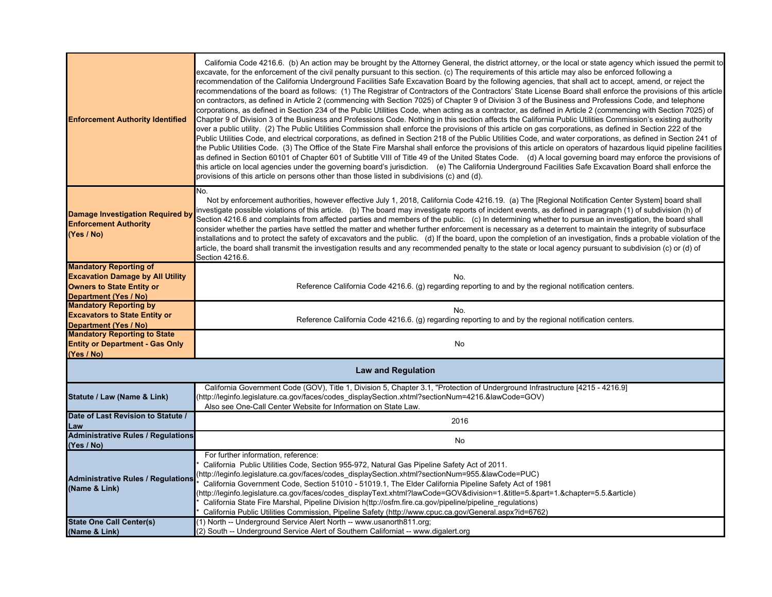| <b>Enforcement Authority Identified</b>                                                                                               | California Code 4216.6. (b) An action may be brought by the Attorney General, the district attorney, or the local or state agency which issued the permit to<br>excavate, for the enforcement of the civil penalty pursuant to this section. (c) The requirements of this article may also be enforced following a<br>recommendation of the California Underground Facilities Safe Excavation Board by the following agencies, that shall act to accept, amend, or reject the<br>recommendations of the board as follows: (1) The Registrar of Contractors of the Contractors' State License Board shall enforce the provisions of this article<br>on contractors, as defined in Article 2 (commencing with Section 7025) of Chapter 9 of Division 3 of the Business and Professions Code, and telephone<br>corporations, as defined in Section 234 of the Public Utilities Code, when acting as a contractor, as defined in Article 2 (commencing with Section 7025) of<br>Chapter 9 of Division 3 of the Business and Professions Code. Nothing in this section affects the California Public Utilities Commission's existing authority<br>over a public utility. (2) The Public Utilities Commission shall enforce the provisions of this article on gas corporations, as defined in Section 222 of the<br>Public Utilities Code, and electrical corporations, as defined in Section 218 of the Public Utilities Code, and water corporations, as defined in Section 241 of<br>the Public Utilities Code. (3) The Office of the State Fire Marshal shall enforce the provisions of this article on operators of hazardous liquid pipeline facilities<br>as defined in Section 60101 of Chapter 601 of Subtitle VIII of Title 49 of the United States Code. (d) A local governing board may enforce the provisions of<br>this article on local agencies under the governing board's jurisdiction. (e) The California Underground Facilities Safe Excavation Board shall enforce the<br>provisions of this article on persons other than those listed in subdivisions (c) and (d). |
|---------------------------------------------------------------------------------------------------------------------------------------|-------------------------------------------------------------------------------------------------------------------------------------------------------------------------------------------------------------------------------------------------------------------------------------------------------------------------------------------------------------------------------------------------------------------------------------------------------------------------------------------------------------------------------------------------------------------------------------------------------------------------------------------------------------------------------------------------------------------------------------------------------------------------------------------------------------------------------------------------------------------------------------------------------------------------------------------------------------------------------------------------------------------------------------------------------------------------------------------------------------------------------------------------------------------------------------------------------------------------------------------------------------------------------------------------------------------------------------------------------------------------------------------------------------------------------------------------------------------------------------------------------------------------------------------------------------------------------------------------------------------------------------------------------------------------------------------------------------------------------------------------------------------------------------------------------------------------------------------------------------------------------------------------------------------------------------------------------------------------------------------------------------------------------------------------------------------------------------|
| <b>Damage Investigation Required by</b><br><b>Enforcement Authority</b><br>(Yes / No)                                                 | No.<br>Not by enforcement authorities, however effective July 1, 2018, California Code 4216.19. (a) The [Regional Notification Center System] board shall<br>investigate possible violations of this article. (b) The board may investigate reports of incident events, as defined in paragraph (1) of subdivision (h) of<br>Section 4216.6 and complaints from affected parties and members of the public. (c) In determining whether to pursue an investigation, the board shall<br>consider whether the parties have settled the matter and whether further enforcement is necessary as a deterrent to maintain the integrity of subsurface<br>installations and to protect the safety of excavators and the public. (d) If the board, upon the completion of an investigation, finds a probable violation of the<br>article, the board shall transmit the investigation results and any recommended penalty to the state or local agency pursuant to subdivision (c) or (d) of<br>Section 4216.6.                                                                                                                                                                                                                                                                                                                                                                                                                                                                                                                                                                                                                                                                                                                                                                                                                                                                                                                                                                                                                                                                               |
| <b>Mandatory Reporting of</b><br><b>Excavation Damage by All Utility</b><br><b>Owners to State Entity or</b><br>Department (Yes / No) | No.<br>Reference California Code 4216.6. (g) regarding reporting to and by the regional notification centers.                                                                                                                                                                                                                                                                                                                                                                                                                                                                                                                                                                                                                                                                                                                                                                                                                                                                                                                                                                                                                                                                                                                                                                                                                                                                                                                                                                                                                                                                                                                                                                                                                                                                                                                                                                                                                                                                                                                                                                       |
| <b>Mandatory Reporting by</b><br><b>Excavators to State Entity or</b><br>Department (Yes / No)                                        | No.<br>Reference California Code 4216.6. (g) regarding reporting to and by the regional notification centers.                                                                                                                                                                                                                                                                                                                                                                                                                                                                                                                                                                                                                                                                                                                                                                                                                                                                                                                                                                                                                                                                                                                                                                                                                                                                                                                                                                                                                                                                                                                                                                                                                                                                                                                                                                                                                                                                                                                                                                       |
| <b>Mandatory Reporting to State</b><br><b>Entity or Department - Gas Only</b><br>(Yes / No)                                           | No                                                                                                                                                                                                                                                                                                                                                                                                                                                                                                                                                                                                                                                                                                                                                                                                                                                                                                                                                                                                                                                                                                                                                                                                                                                                                                                                                                                                                                                                                                                                                                                                                                                                                                                                                                                                                                                                                                                                                                                                                                                                                  |
| <b>Law and Regulation</b>                                                                                                             |                                                                                                                                                                                                                                                                                                                                                                                                                                                                                                                                                                                                                                                                                                                                                                                                                                                                                                                                                                                                                                                                                                                                                                                                                                                                                                                                                                                                                                                                                                                                                                                                                                                                                                                                                                                                                                                                                                                                                                                                                                                                                     |
| Statute / Law (Name & Link)                                                                                                           | California Government Code (GOV), Title 1, Division 5, Chapter 3.1, "Protection of Underground Infrastructure [4215 - 4216.9]<br>(http://leginfo.legislature.ca.gov/faces/codes_displaySection.xhtml?sectionNum=4216.&lawCode=GOV)<br>Also see One-Call Center Website for Information on State Law.                                                                                                                                                                                                                                                                                                                                                                                                                                                                                                                                                                                                                                                                                                                                                                                                                                                                                                                                                                                                                                                                                                                                                                                                                                                                                                                                                                                                                                                                                                                                                                                                                                                                                                                                                                                |
| Date of Last Revision to Statute /<br>Law                                                                                             | 2016                                                                                                                                                                                                                                                                                                                                                                                                                                                                                                                                                                                                                                                                                                                                                                                                                                                                                                                                                                                                                                                                                                                                                                                                                                                                                                                                                                                                                                                                                                                                                                                                                                                                                                                                                                                                                                                                                                                                                                                                                                                                                |
| <b>Administrative Rules / Regulations</b><br>(Yes / No)                                                                               | No                                                                                                                                                                                                                                                                                                                                                                                                                                                                                                                                                                                                                                                                                                                                                                                                                                                                                                                                                                                                                                                                                                                                                                                                                                                                                                                                                                                                                                                                                                                                                                                                                                                                                                                                                                                                                                                                                                                                                                                                                                                                                  |
| <b>Administrative Rules / Regulations</b><br>(Name & Link)                                                                            | For further information, reference:<br>California Public Utilities Code, Section 955-972, Natural Gas Pipeline Safety Act of 2011.<br>http://leginfo.legislature.ca.gov/faces/codes_displaySection.xhtml?sectionNum=955.&lawCode=PUC)<br>California Government Code, Section 51010 - 51019.1, The Elder California Pipeline Safety Act of 1981<br>http://leginfo.legislature.ca.gov/faces/codes_displayText.xhtml?lawCode=GOV&division=1.&title=5.∂=1.&chapter=5.5.&article)<br>California State Fire Marshal, Pipeline Division h(ttp://osfm.fire.ca.gov/pipeline/pipeline_regulations)<br>California Public Utilities Commission, Pipeline Safety (http://www.cpuc.ca.gov/General.aspx?id=6762)                                                                                                                                                                                                                                                                                                                                                                                                                                                                                                                                                                                                                                                                                                                                                                                                                                                                                                                                                                                                                                                                                                                                                                                                                                                                                                                                                                                   |
| <b>State One Call Center(s)</b><br>(Name & Link)                                                                                      | (1) North -- Underground Service Alert North -- www.usanorth811.org;<br>(2) South -- Underground Service Alert of Southern Californiat -- www.digalert.org                                                                                                                                                                                                                                                                                                                                                                                                                                                                                                                                                                                                                                                                                                                                                                                                                                                                                                                                                                                                                                                                                                                                                                                                                                                                                                                                                                                                                                                                                                                                                                                                                                                                                                                                                                                                                                                                                                                          |